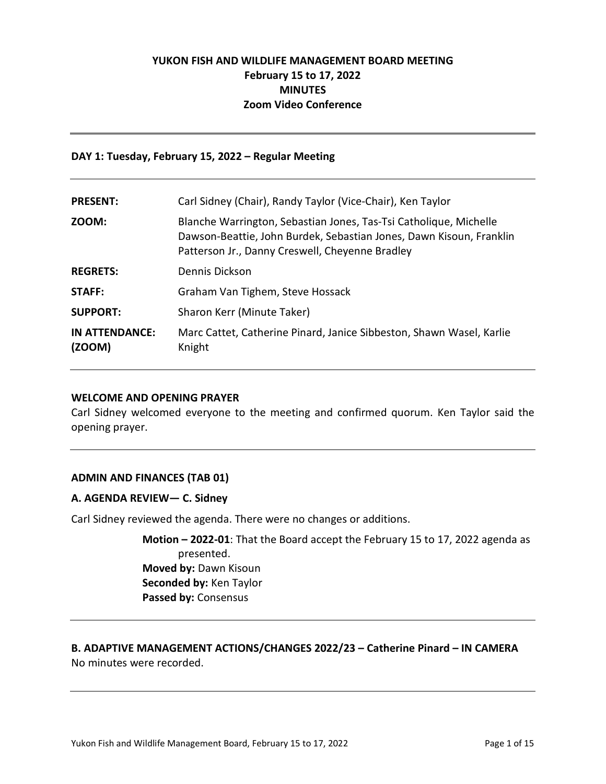# **YUKON FISH AND WILDLIFE MANAGEMENT BOARD MEETING February 15 to 17, 2022 MINUTES Zoom Video Conference**

#### **DAY 1: Tuesday, February 15, 2022 – Regular Meeting**

| <b>PRESENT:</b>          | Carl Sidney (Chair), Randy Taylor (Vice-Chair), Ken Taylor                                                                                                                                  |
|--------------------------|---------------------------------------------------------------------------------------------------------------------------------------------------------------------------------------------|
| ZOOM:                    | Blanche Warrington, Sebastian Jones, Tas-Tsi Catholique, Michelle<br>Dawson-Beattie, John Burdek, Sebastian Jones, Dawn Kisoun, Franklin<br>Patterson Jr., Danny Creswell, Cheyenne Bradley |
| <b>REGRETS:</b>          | Dennis Dickson                                                                                                                                                                              |
| <b>STAFF:</b>            | Graham Van Tighem, Steve Hossack                                                                                                                                                            |
| <b>SUPPORT:</b>          | Sharon Kerr (Minute Taker)                                                                                                                                                                  |
| IN ATTENDANCE:<br>(200M) | Marc Cattet, Catherine Pinard, Janice Sibbeston, Shawn Wasel, Karlie<br>Knight                                                                                                              |

#### **WELCOME AND OPENING PRAYER**

Carl Sidney welcomed everyone to the meeting and confirmed quorum. Ken Taylor said the opening prayer.

### **ADMIN AND FINANCES (TAB 01)**

### **A. AGENDA REVIEW— C. Sidney**

Carl Sidney reviewed the agenda. There were no changes or additions.

**Motion – 2022-01**: That the Board accept the February 15 to 17, 2022 agenda as presented. **Moved by:** Dawn Kisoun **Seconded by:** Ken Taylor **Passed by:** Consensus

## **B. ADAPTIVE MANAGEMENT ACTIONS/CHANGES 2022/23 – Catherine Pinard – IN CAMERA** No minutes were recorded.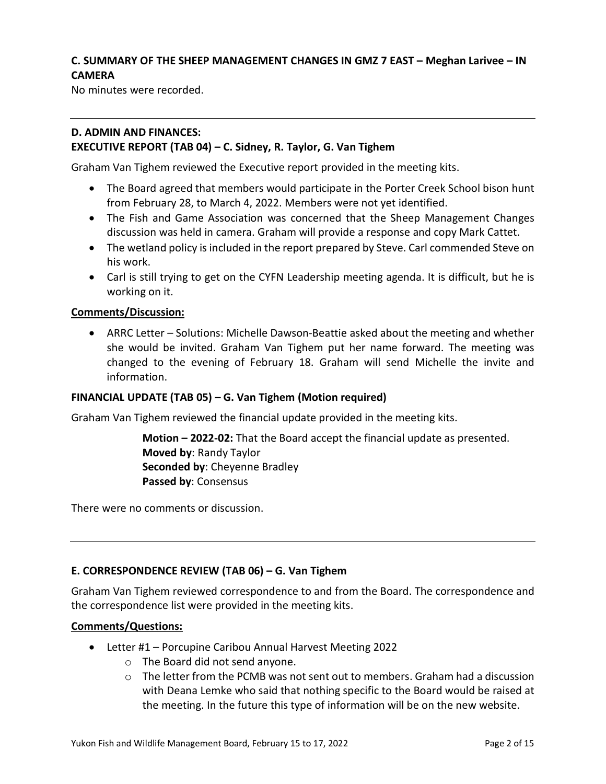# **C. SUMMARY OF THE SHEEP MANAGEMENT CHANGES IN GMZ 7 EAST – Meghan Larivee – IN CAMERA**

No minutes were recorded.

## **D. ADMIN AND FINANCES: EXECUTIVE REPORT (TAB 04) – C. Sidney, R. Taylor, G. Van Tighem**

Graham Van Tighem reviewed the Executive report provided in the meeting kits.

- The Board agreed that members would participate in the Porter Creek School bison hunt from February 28, to March 4, 2022. Members were not yet identified.
- The Fish and Game Association was concerned that the Sheep Management Changes discussion was held in camera. Graham will provide a response and copy Mark Cattet.
- The wetland policy is included in the report prepared by Steve. Carl commended Steve on his work.
- Carl is still trying to get on the CYFN Leadership meeting agenda. It is difficult, but he is working on it.

## **Comments/Discussion:**

• ARRC Letter – Solutions: Michelle Dawson-Beattie asked about the meeting and whether she would be invited. Graham Van Tighem put her name forward. The meeting was changed to the evening of February 18. Graham will send Michelle the invite and information.

### **FINANCIAL UPDATE (TAB 05) – G. Van Tighem (Motion required)**

Graham Van Tighem reviewed the financial update provided in the meeting kits.

**Motion – 2022-02:** That the Board accept the financial update as presented. **Moved by**: Randy Taylor **Seconded by**: Cheyenne Bradley **Passed by**: Consensus

There were no comments or discussion.

### **E. CORRESPONDENCE REVIEW (TAB 06) – G. Van Tighem**

Graham Van Tighem reviewed correspondence to and from the Board. The correspondence and the correspondence list were provided in the meeting kits.

### **Comments/Questions:**

- Letter #1 Porcupine Caribou Annual Harvest Meeting 2022
	- o The Board did not send anyone.
	- $\circ$  The letter from the PCMB was not sent out to members. Graham had a discussion with Deana Lemke who said that nothing specific to the Board would be raised at the meeting. In the future this type of information will be on the new website.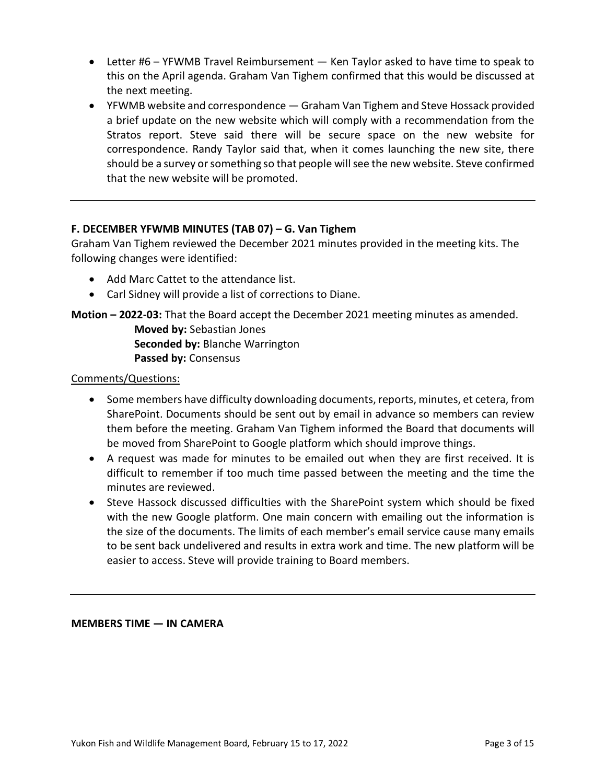- Letter #6 YFWMB Travel Reimbursement Ken Taylor asked to have time to speak to this on the April agenda. Graham Van Tighem confirmed that this would be discussed at the next meeting.
- YFWMB website and correspondence Graham Van Tighem and Steve Hossack provided a brief update on the new website which will comply with a recommendation from the Stratos report. Steve said there will be secure space on the new website for correspondence. Randy Taylor said that, when it comes launching the new site, there should be a survey or something so that people will see the new website. Steve confirmed that the new website will be promoted.

## **F. DECEMBER YFWMB MINUTES (TAB 07) – G. Van Tighem**

Graham Van Tighem reviewed the December 2021 minutes provided in the meeting kits. The following changes were identified:

- Add Marc Cattet to the attendance list.
- Carl Sidney will provide a list of corrections to Diane.

## **Motion – 2022-03:** That the Board accept the December 2021 meeting minutes as amended.

**Moved by:** Sebastian Jones **Seconded by:** Blanche Warrington **Passed by:** Consensus

## Comments/Questions:

- Some members have difficulty downloading documents, reports, minutes, et cetera, from SharePoint. Documents should be sent out by email in advance so members can review them before the meeting. Graham Van Tighem informed the Board that documents will be moved from SharePoint to Google platform which should improve things.
- A request was made for minutes to be emailed out when they are first received. It is difficult to remember if too much time passed between the meeting and the time the minutes are reviewed.
- Steve Hassock discussed difficulties with the SharePoint system which should be fixed with the new Google platform. One main concern with emailing out the information is the size of the documents. The limits of each member's email service cause many emails to be sent back undelivered and results in extra work and time. The new platform will be easier to access. Steve will provide training to Board members.

### **MEMBERS TIME — IN CAMERA**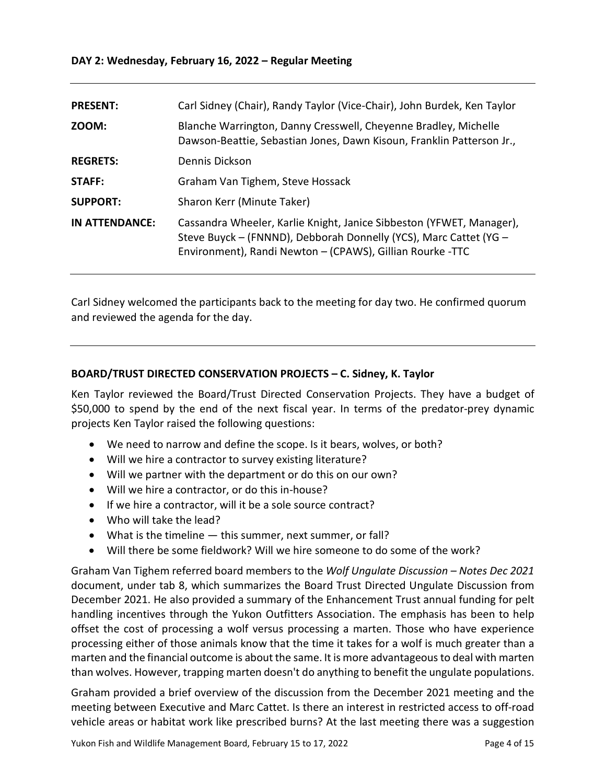| <b>PRESENT:</b> | Carl Sidney (Chair), Randy Taylor (Vice-Chair), John Burdek, Ken Taylor                                                                                                                                |
|-----------------|--------------------------------------------------------------------------------------------------------------------------------------------------------------------------------------------------------|
| ZOOM:           | Blanche Warrington, Danny Cresswell, Cheyenne Bradley, Michelle<br>Dawson-Beattie, Sebastian Jones, Dawn Kisoun, Franklin Patterson Jr.,                                                               |
| <b>REGRETS:</b> | Dennis Dickson                                                                                                                                                                                         |
| STAFF:          | Graham Van Tighem, Steve Hossack                                                                                                                                                                       |
| <b>SUPPORT:</b> | Sharon Kerr (Minute Taker)                                                                                                                                                                             |
| IN ATTENDANCE:  | Cassandra Wheeler, Karlie Knight, Janice Sibbeston (YFWET, Manager),<br>Steve Buyck - (FNNND), Debborah Donnelly (YCS), Marc Cattet (YG -<br>Environment), Randi Newton - (CPAWS), Gillian Rourke -TTC |

Carl Sidney welcomed the participants back to the meeting for day two. He confirmed quorum and reviewed the agenda for the day.

## **BOARD/TRUST DIRECTED CONSERVATION PROJECTS – C. Sidney, K. Taylor**

Ken Taylor reviewed the Board/Trust Directed Conservation Projects. They have a budget of \$50,000 to spend by the end of the next fiscal year. In terms of the predator-prey dynamic projects Ken Taylor raised the following questions:

- We need to narrow and define the scope. Is it bears, wolves, or both?
- Will we hire a contractor to survey existing literature?
- Will we partner with the department or do this on our own?
- Will we hire a contractor, or do this in-house?
- If we hire a contractor, will it be a sole source contract?
- Who will take the lead?
- What is the timeline this summer, next summer, or fall?
- Will there be some fieldwork? Will we hire someone to do some of the work?

Graham Van Tighem referred board members to the *Wolf Ungulate Discussion – Notes Dec 2021* document, under tab 8, which summarizes the Board Trust Directed Ungulate Discussion from December 2021. He also provided a summary of the Enhancement Trust annual funding for pelt handling incentives through the Yukon Outfitters Association. The emphasis has been to help offset the cost of processing a wolf versus processing a marten. Those who have experience processing either of those animals know that the time it takes for a wolf is much greater than a marten and the financial outcome is about the same. It is more advantageous to deal with marten than wolves. However, trapping marten doesn't do anything to benefit the ungulate populations.

Graham provided a brief overview of the discussion from the December 2021 meeting and the meeting between Executive and Marc Cattet. Is there an interest in restricted access to off-road vehicle areas or habitat work like prescribed burns? At the last meeting there was a suggestion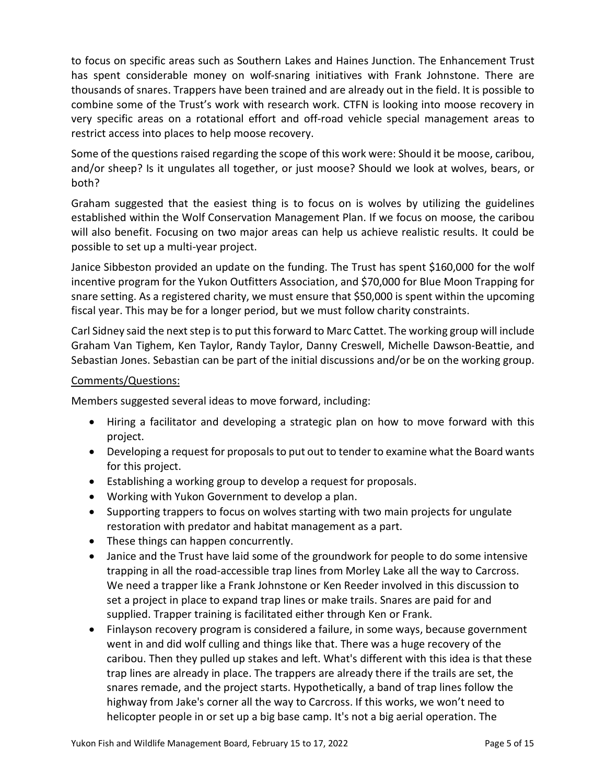to focus on specific areas such as Southern Lakes and Haines Junction. The Enhancement Trust has spent considerable money on wolf-snaring initiatives with Frank Johnstone. There are thousands of snares. Trappers have been trained and are already out in the field. It is possible to combine some of the Trust's work with research work. CTFN is looking into moose recovery in very specific areas on a rotational effort and off-road vehicle special management areas to restrict access into places to help moose recovery.

Some of the questions raised regarding the scope of this work were: Should it be moose, caribou, and/or sheep? Is it ungulates all together, or just moose? Should we look at wolves, bears, or both?

Graham suggested that the easiest thing is to focus on is wolves by utilizing the guidelines established within the Wolf Conservation Management Plan. If we focus on moose, the caribou will also benefit. Focusing on two major areas can help us achieve realistic results. It could be possible to set up a multi-year project.

Janice Sibbeston provided an update on the funding. The Trust has spent \$160,000 for the wolf incentive program for the Yukon Outfitters Association, and \$70,000 for Blue Moon Trapping for snare setting. As a registered charity, we must ensure that \$50,000 is spent within the upcoming fiscal year. This may be for a longer period, but we must follow charity constraints.

Carl Sidney said the next step is to put this forward to Marc Cattet. The working group will include Graham Van Tighem, Ken Taylor, Randy Taylor, Danny Creswell, Michelle Dawson-Beattie, and Sebastian Jones. Sebastian can be part of the initial discussions and/or be on the working group.

## Comments/Questions:

Members suggested several ideas to move forward, including:

- Hiring a facilitator and developing a strategic plan on how to move forward with this project.
- Developing a request for proposals to put out to tender to examine what the Board wants for this project.
- Establishing a working group to develop a request for proposals.
- Working with Yukon Government to develop a plan.
- Supporting trappers to focus on wolves starting with two main projects for ungulate restoration with predator and habitat management as a part.
- These things can happen concurrently.
- Janice and the Trust have laid some of the groundwork for people to do some intensive trapping in all the road-accessible trap lines from Morley Lake all the way to Carcross. We need a trapper like a Frank Johnstone or Ken Reeder involved in this discussion to set a project in place to expand trap lines or make trails. Snares are paid for and supplied. Trapper training is facilitated either through Ken or Frank.
- Finlayson recovery program is considered a failure, in some ways, because government went in and did wolf culling and things like that. There was a huge recovery of the caribou. Then they pulled up stakes and left. What's different with this idea is that these trap lines are already in place. The trappers are already there if the trails are set, the snares remade, and the project starts. Hypothetically, a band of trap lines follow the highway from Jake's corner all the way to Carcross. If this works, we won't need to helicopter people in or set up a big base camp. It's not a big aerial operation. The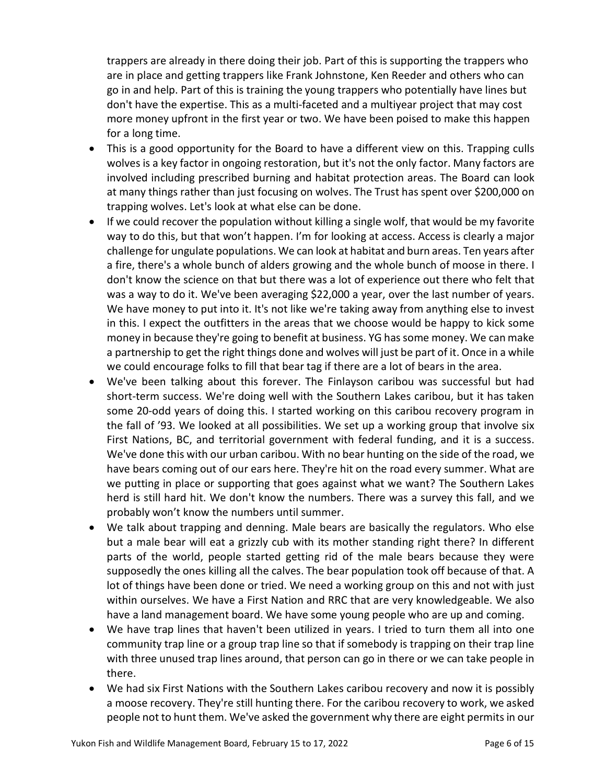trappers are already in there doing their job. Part of this is supporting the trappers who are in place and getting trappers like Frank Johnstone, Ken Reeder and others who can go in and help. Part of this is training the young trappers who potentially have lines but don't have the expertise. This as a multi-faceted and a multiyear project that may cost more money upfront in the first year or two. We have been poised to make this happen for a long time.

- This is a good opportunity for the Board to have a different view on this. Trapping culls wolves is a key factor in ongoing restoration, but it's not the only factor. Many factors are involved including prescribed burning and habitat protection areas. The Board can look at many things rather than just focusing on wolves. The Trust has spent over \$200,000 on trapping wolves. Let's look at what else can be done.
- If we could recover the population without killing a single wolf, that would be my favorite way to do this, but that won't happen. I'm for looking at access. Access is clearly a major challenge for ungulate populations. We can look at habitat and burn areas. Ten years after a fire, there's a whole bunch of alders growing and the whole bunch of moose in there. I don't know the science on that but there was a lot of experience out there who felt that was a way to do it. We've been averaging \$22,000 a year, over the last number of years. We have money to put into it. It's not like we're taking away from anything else to invest in this. I expect the outfitters in the areas that we choose would be happy to kick some money in because they're going to benefit at business. YG has some money. We can make a partnership to get the right things done and wolves will just be part of it. Once in a while we could encourage folks to fill that bear tag if there are a lot of bears in the area.
- We've been talking about this forever. The Finlayson caribou was successful but had short-term success. We're doing well with the Southern Lakes caribou, but it has taken some 20-odd years of doing this. I started working on this caribou recovery program in the fall of '93. We looked at all possibilities. We set up a working group that involve six First Nations, BC, and territorial government with federal funding, and it is a success. We've done this with our urban caribou. With no bear hunting on the side of the road, we have bears coming out of our ears here. They're hit on the road every summer. What are we putting in place or supporting that goes against what we want? The Southern Lakes herd is still hard hit. We don't know the numbers. There was a survey this fall, and we probably won't know the numbers until summer.
- We talk about trapping and denning. Male bears are basically the regulators. Who else but a male bear will eat a grizzly cub with its mother standing right there? In different parts of the world, people started getting rid of the male bears because they were supposedly the ones killing all the calves. The bear population took off because of that. A lot of things have been done or tried. We need a working group on this and not with just within ourselves. We have a First Nation and RRC that are very knowledgeable. We also have a land management board. We have some young people who are up and coming.
- We have trap lines that haven't been utilized in years. I tried to turn them all into one community trap line or a group trap line so that if somebody is trapping on their trap line with three unused trap lines around, that person can go in there or we can take people in there.
- We had six First Nations with the Southern Lakes caribou recovery and now it is possibly a moose recovery. They're still hunting there. For the caribou recovery to work, we asked people not to hunt them. We've asked the government why there are eight permits in our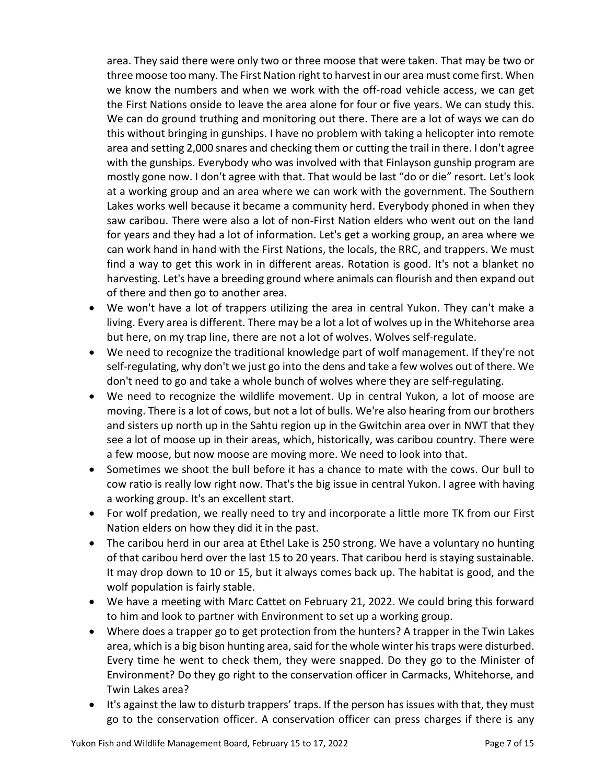area. They said there were only two or three moose that were taken. That may be two or three moose too many. The First Nation right to harvest in our area must come first. When we know the numbers and when we work with the off-road vehicle access, we can get the First Nations onside to leave the area alone for four or five years. We can study this. We can do ground truthing and monitoring out there. There are a lot of ways we can do this without bringing in gunships. I have no problem with taking a helicopter into remote area and setting 2,000 snares and checking them or cutting the trail in there. I don't agree with the gunships. Everybody who was involved with that Finlayson gunship program are mostly gone now. I don't agree with that. That would be last "do or die" resort. Let's look at a working group and an area where we can work with the government. The Southern Lakes works well because it became a community herd. Everybody phoned in when they saw caribou. There were also a lot of non-First Nation elders who went out on the land for years and they had a lot of information. Let's get a working group, an area where we can work hand in hand with the First Nations, the locals, the RRC, and trappers. We must find a way to get this work in in different areas. Rotation is good. It's not a blanket no harvesting. Let's have a breeding ground where animals can flourish and then expand out of there and then go to another area.

- We won't have a lot of trappers utilizing the area in central Yukon. They can't make a living. Every area is different. There may be a lot a lot of wolves up in the Whitehorse area but here, on my trap line, there are not a lot of wolves. Wolves self-regulate.
- We need to recognize the traditional knowledge part of wolf management. If they're not self-regulating, why don't we just go into the dens and take a few wolves out of there. We don't need to go and take a whole bunch of wolves where they are self-regulating.
- We need to recognize the wildlife movement. Up in central Yukon, a lot of moose are moving. There is a lot of cows, but not a lot of bulls. We're also hearing from our brothers and sisters up north up in the Sahtu region up in the Gwitchin area over in NWT that they see a lot of moose up in their areas, which, historically, was caribou country. There were a few moose, but now moose are moving more. We need to look into that.
- Sometimes we shoot the bull before it has a chance to mate with the cows. Our bull to cow ratio is really low right now. That's the big issue in central Yukon. I agree with having a working group. It's an excellent start.
- For wolf predation, we really need to try and incorporate a little more TK from our First Nation elders on how they did it in the past.
- The caribou herd in our area at Ethel Lake is 250 strong. We have a voluntary no hunting of that caribou herd over the last 15 to 20 years. That caribou herd is staying sustainable. It may drop down to 10 or 15, but it always comes back up. The habitat is good, and the wolf population is fairly stable.
- We have a meeting with Marc Cattet on February 21, 2022. We could bring this forward to him and look to partner with Environment to set up a working group.
- Where does a trapper go to get protection from the hunters? A trapper in the Twin Lakes area, which is a big bison hunting area, said for the whole winter his traps were disturbed. Every time he went to check them, they were snapped. Do they go to the Minister of Environment? Do they go right to the conservation officer in Carmacks, Whitehorse, and Twin Lakes area?
- It's against the law to disturb trappers' traps. If the person has issues with that, they must go to the conservation officer. A conservation officer can press charges if there is any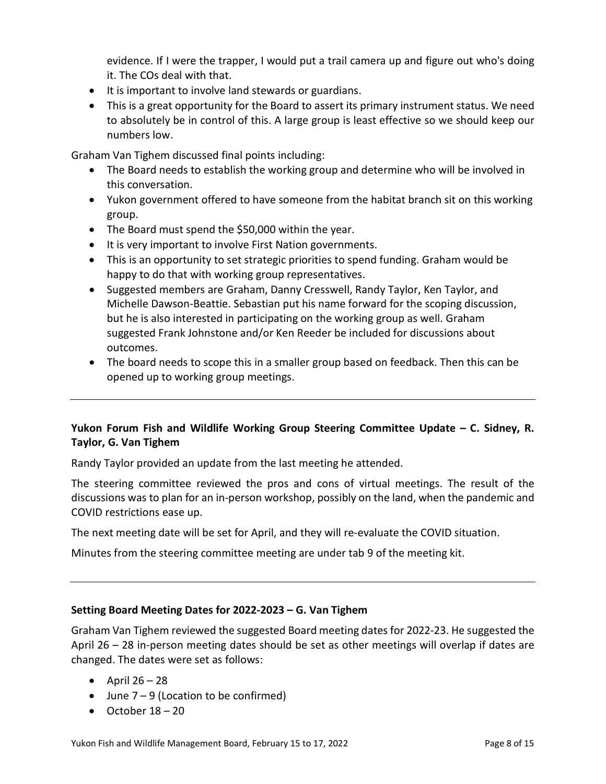evidence. If I were the trapper, I would put a trail camera up and figure out who's doing it. The COs deal with that.

- It is important to involve land stewards or guardians.
- This is a great opportunity for the Board to assert its primary instrument status. We need to absolutely be in control of this. A large group is least effective so we should keep our numbers low.

Graham Van Tighem discussed final points including:

- The Board needs to establish the working group and determine who will be involved in this conversation.
- Yukon government offered to have someone from the habitat branch sit on this working group.
- The Board must spend the \$50,000 within the year.
- It is very important to involve First Nation governments.
- This is an opportunity to set strategic priorities to spend funding. Graham would be happy to do that with working group representatives.
- Suggested members are Graham, Danny Cresswell, Randy Taylor, Ken Taylor, and Michelle Dawson-Beattie. Sebastian put his name forward for the scoping discussion, but he is also interested in participating on the working group as well. Graham suggested Frank Johnstone and/or Ken Reeder be included for discussions about outcomes.
- The board needs to scope this in a smaller group based on feedback. Then this can be opened up to working group meetings.

## **Yukon Forum Fish and Wildlife Working Group Steering Committee Update – C. Sidney, R. Taylor, G. Van Tighem**

Randy Taylor provided an update from the last meeting he attended.

The steering committee reviewed the pros and cons of virtual meetings. The result of the discussions was to plan for an in-person workshop, possibly on the land, when the pandemic and COVID restrictions ease up.

The next meeting date will be set for April, and they will re-evaluate the COVID situation.

Minutes from the steering committee meeting are under tab 9 of the meeting kit.

## **Setting Board Meeting Dates for 2022-2023 – G. Van Tighem**

Graham Van Tighem reviewed the suggested Board meeting dates for 2022-23. He suggested the April 26 – 28 in-person meeting dates should be set as other meetings will overlap if dates are changed. The dates were set as follows:

- April  $26 28$
- June  $7 9$  (Location to be confirmed)
- October  $18 20$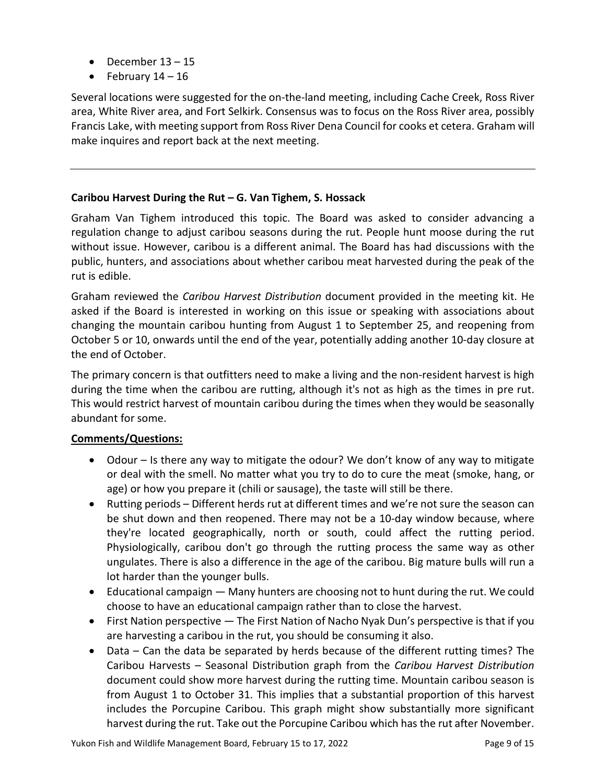- December  $13 15$
- February  $14 16$

Several locations were suggested for the on-the-land meeting, including Cache Creek, Ross River area, White River area, and Fort Selkirk. Consensus was to focus on the Ross River area, possibly Francis Lake, with meeting support from Ross River Dena Council for cooks et cetera. Graham will make inquires and report back at the next meeting.

# **Caribou Harvest During the Rut – G. Van Tighem, S. Hossack**

Graham Van Tighem introduced this topic. The Board was asked to consider advancing a regulation change to adjust caribou seasons during the rut. People hunt moose during the rut without issue. However, caribou is a different animal. The Board has had discussions with the public, hunters, and associations about whether caribou meat harvested during the peak of the rut is edible.

Graham reviewed the *Caribou Harvest Distribution* document provided in the meeting kit. He asked if the Board is interested in working on this issue or speaking with associations about changing the mountain caribou hunting from August 1 to September 25, and reopening from October 5 or 10, onwards until the end of the year, potentially adding another 10-day closure at the end of October.

The primary concern is that outfitters need to make a living and the non-resident harvest is high during the time when the caribou are rutting, although it's not as high as the times in pre rut. This would restrict harvest of mountain caribou during the times when they would be seasonally abundant for some.

# **Comments/Questions:**

- Odour Is there any way to mitigate the odour? We don't know of any way to mitigate or deal with the smell. No matter what you try to do to cure the meat (smoke, hang, or age) or how you prepare it (chili or sausage), the taste will still be there.
- Rutting periods Different herds rut at different times and we're not sure the season can be shut down and then reopened. There may not be a 10-day window because, where they're located geographically, north or south, could affect the rutting period. Physiologically, caribou don't go through the rutting process the same way as other ungulates. There is also a difference in the age of the caribou. Big mature bulls will run a lot harder than the younger bulls.
- Educational campaign Many hunters are choosing not to hunt during the rut. We could choose to have an educational campaign rather than to close the harvest.
- First Nation perspective The First Nation of Nacho Nyak Dun's perspective is that if you are harvesting a caribou in the rut, you should be consuming it also.
- Data Can the data be separated by herds because of the different rutting times? The Caribou Harvests – Seasonal Distribution graph from the *Caribou Harvest Distribution*  document could show more harvest during the rutting time. Mountain caribou season is from August 1 to October 31. This implies that a substantial proportion of this harvest includes the Porcupine Caribou. This graph might show substantially more significant harvest during the rut. Take out the Porcupine Caribou which has the rut after November.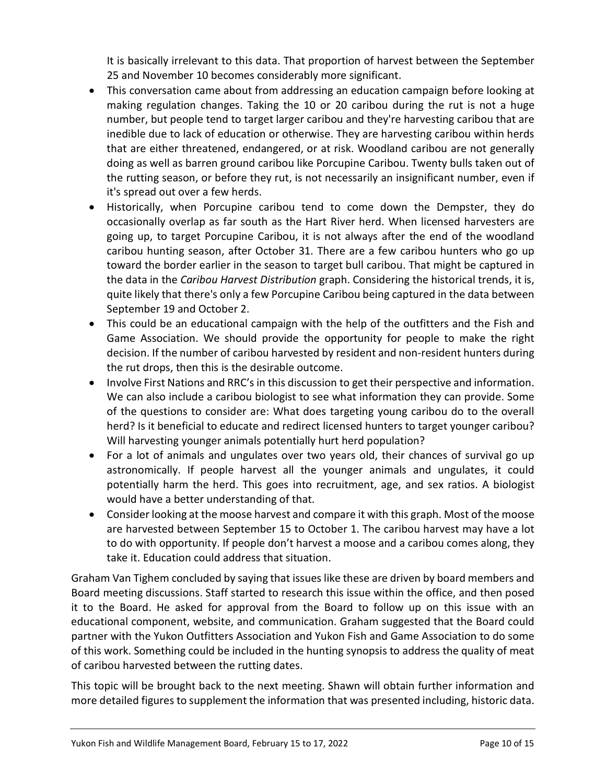It is basically irrelevant to this data. That proportion of harvest between the September 25 and November 10 becomes considerably more significant.

- This conversation came about from addressing an education campaign before looking at making regulation changes. Taking the 10 or 20 caribou during the rut is not a huge number, but people tend to target larger caribou and they're harvesting caribou that are inedible due to lack of education or otherwise. They are harvesting caribou within herds that are either threatened, endangered, or at risk. Woodland caribou are not generally doing as well as barren ground caribou like Porcupine Caribou. Twenty bulls taken out of the rutting season, or before they rut, is not necessarily an insignificant number, even if it's spread out over a few herds.
- Historically, when Porcupine caribou tend to come down the Dempster, they do occasionally overlap as far south as the Hart River herd. When licensed harvesters are going up, to target Porcupine Caribou, it is not always after the end of the woodland caribou hunting season, after October 31. There are a few caribou hunters who go up toward the border earlier in the season to target bull caribou. That might be captured in the data in the *Caribou Harvest Distribution* graph. Considering the historical trends, it is, quite likely that there's only a few Porcupine Caribou being captured in the data between September 19 and October 2.
- This could be an educational campaign with the help of the outfitters and the Fish and Game Association. We should provide the opportunity for people to make the right decision. If the number of caribou harvested by resident and non-resident hunters during the rut drops, then this is the desirable outcome.
- Involve First Nations and RRC's in this discussion to get their perspective and information. We can also include a caribou biologist to see what information they can provide. Some of the questions to consider are: What does targeting young caribou do to the overall herd? Is it beneficial to educate and redirect licensed hunters to target younger caribou? Will harvesting younger animals potentially hurt herd population?
- For a lot of animals and ungulates over two years old, their chances of survival go up astronomically. If people harvest all the younger animals and ungulates, it could potentially harm the herd. This goes into recruitment, age, and sex ratios. A biologist would have a better understanding of that.
- Consider looking at the moose harvest and compare it with this graph. Most of the moose are harvested between September 15 to October 1. The caribou harvest may have a lot to do with opportunity. If people don't harvest a moose and a caribou comes along, they take it. Education could address that situation.

Graham Van Tighem concluded by saying that issues like these are driven by board members and Board meeting discussions. Staff started to research this issue within the office, and then posed it to the Board. He asked for approval from the Board to follow up on this issue with an educational component, website, and communication. Graham suggested that the Board could partner with the Yukon Outfitters Association and Yukon Fish and Game Association to do some of this work. Something could be included in the hunting synopsis to address the quality of meat of caribou harvested between the rutting dates.

This topic will be brought back to the next meeting. Shawn will obtain further information and more detailed figures to supplement the information that was presented including, historic data.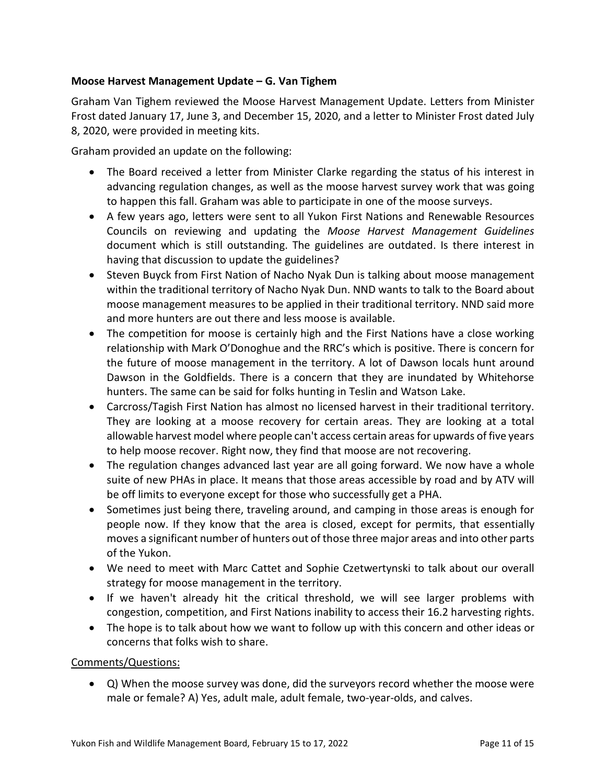## **Moose Harvest Management Update – G. Van Tighem**

Graham Van Tighem reviewed the Moose Harvest Management Update. Letters from Minister Frost dated January 17, June 3, and December 15, 2020, and a letter to Minister Frost dated July 8, 2020, were provided in meeting kits.

Graham provided an update on the following:

- The Board received a letter from Minister Clarke regarding the status of his interest in advancing regulation changes, as well as the moose harvest survey work that was going to happen this fall. Graham was able to participate in one of the moose surveys.
- A few years ago, letters were sent to all Yukon First Nations and Renewable Resources Councils on reviewing and updating the *Moose Harvest Management Guidelines* document which is still outstanding. The guidelines are outdated. Is there interest in having that discussion to update the guidelines?
- Steven Buyck from First Nation of Nacho Nyak Dun is talking about moose management within the traditional territory of Nacho Nyak Dun. NND wants to talk to the Board about moose management measures to be applied in their traditional territory. NND said more and more hunters are out there and less moose is available.
- The competition for moose is certainly high and the First Nations have a close working relationship with Mark O'Donoghue and the RRC's which is positive. There is concern for the future of moose management in the territory. A lot of Dawson locals hunt around Dawson in the Goldfields. There is a concern that they are inundated by Whitehorse hunters. The same can be said for folks hunting in Teslin and Watson Lake.
- Carcross/Tagish First Nation has almost no licensed harvest in their traditional territory. They are looking at a moose recovery for certain areas. They are looking at a total allowable harvest model where people can't access certain areas for upwards of five years to help moose recover. Right now, they find that moose are not recovering.
- The regulation changes advanced last year are all going forward. We now have a whole suite of new PHAs in place. It means that those areas accessible by road and by ATV will be off limits to everyone except for those who successfully get a PHA.
- Sometimes just being there, traveling around, and camping in those areas is enough for people now. If they know that the area is closed, except for permits, that essentially moves a significant number of hunters out of those three major areas and into other parts of the Yukon.
- We need to meet with Marc Cattet and Sophie Czetwertynski to talk about our overall strategy for moose management in the territory.
- If we haven't already hit the critical threshold, we will see larger problems with congestion, competition, and First Nations inability to access their 16.2 harvesting rights.
- The hope is to talk about how we want to follow up with this concern and other ideas or concerns that folks wish to share.

Comments/Questions:

• Q) When the moose survey was done, did the surveyors record whether the moose were male or female? A) Yes, adult male, adult female, two-year-olds, and calves.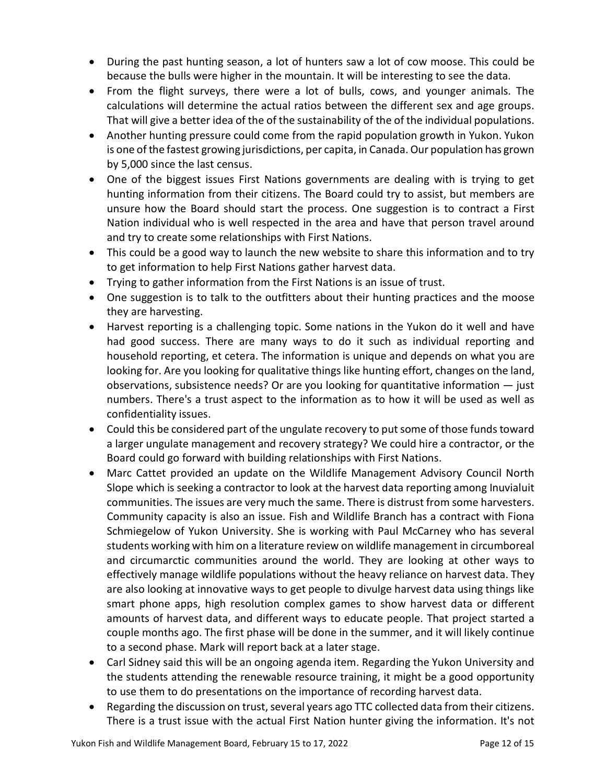- During the past hunting season, a lot of hunters saw a lot of cow moose. This could be because the bulls were higher in the mountain. It will be interesting to see the data.
- From the flight surveys, there were a lot of bulls, cows, and younger animals. The calculations will determine the actual ratios between the different sex and age groups. That will give a better idea of the of the sustainability of the of the individual populations.
- Another hunting pressure could come from the rapid population growth in Yukon. Yukon is one of the fastest growing jurisdictions, per capita, in Canada. Our population has grown by 5,000 since the last census.
- One of the biggest issues First Nations governments are dealing with is trying to get hunting information from their citizens. The Board could try to assist, but members are unsure how the Board should start the process. One suggestion is to contract a First Nation individual who is well respected in the area and have that person travel around and try to create some relationships with First Nations.
- This could be a good way to launch the new website to share this information and to try to get information to help First Nations gather harvest data.
- Trying to gather information from the First Nations is an issue of trust.
- One suggestion is to talk to the outfitters about their hunting practices and the moose they are harvesting.
- Harvest reporting is a challenging topic. Some nations in the Yukon do it well and have had good success. There are many ways to do it such as individual reporting and household reporting, et cetera. The information is unique and depends on what you are looking for. Are you looking for qualitative things like hunting effort, changes on the land, observations, subsistence needs? Or are you looking for quantitative information — just numbers. There's a trust aspect to the information as to how it will be used as well as confidentiality issues.
- Could this be considered part of the ungulate recovery to put some of those funds toward a larger ungulate management and recovery strategy? We could hire a contractor, or the Board could go forward with building relationships with First Nations.
- Marc Cattet provided an update on the Wildlife Management Advisory Council North Slope which is seeking a contractor to look at the harvest data reporting among Inuvialuit communities. The issues are very much the same. There is distrust from some harvesters. Community capacity is also an issue. Fish and Wildlife Branch has a contract with Fiona Schmiegelow of Yukon University. She is working with Paul McCarney who has several students working with him on a literature review on wildlife management in circumboreal and circumarctic communities around the world. They are looking at other ways to effectively manage wildlife populations without the heavy reliance on harvest data. They are also looking at innovative ways to get people to divulge harvest data using things like smart phone apps, high resolution complex games to show harvest data or different amounts of harvest data, and different ways to educate people. That project started a couple months ago. The first phase will be done in the summer, and it will likely continue to a second phase. Mark will report back at a later stage.
- Carl Sidney said this will be an ongoing agenda item. Regarding the Yukon University and the students attending the renewable resource training, it might be a good opportunity to use them to do presentations on the importance of recording harvest data.
- Regarding the discussion on trust, several years ago TTC collected data from their citizens. There is a trust issue with the actual First Nation hunter giving the information. It's not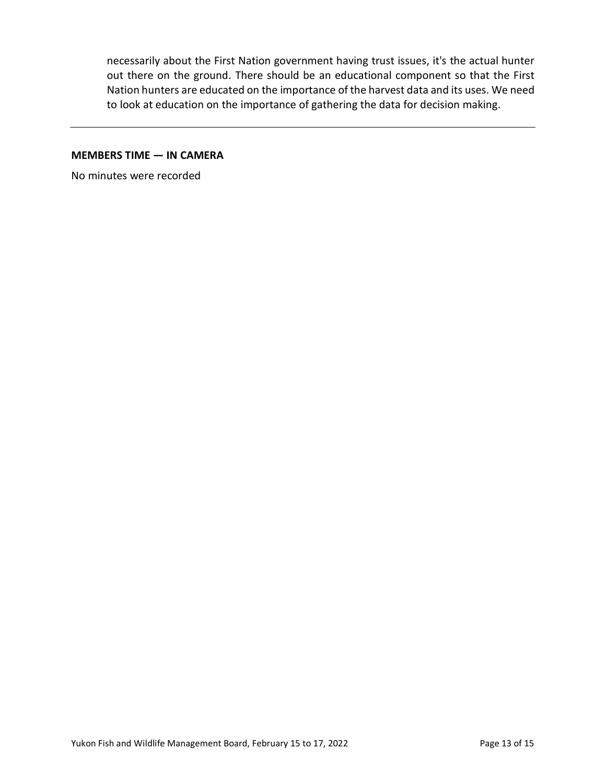necessarily about the First Nation government having trust issues, it's the actual hunter out there on the ground. There should be an educational component so that the First Nation hunters are educated on the importance of the harvest data and its uses. We need to look at education on the importance of gathering the data for decision making.

### **MEMBERS TIME — IN CAMERA**

No minutes were recorded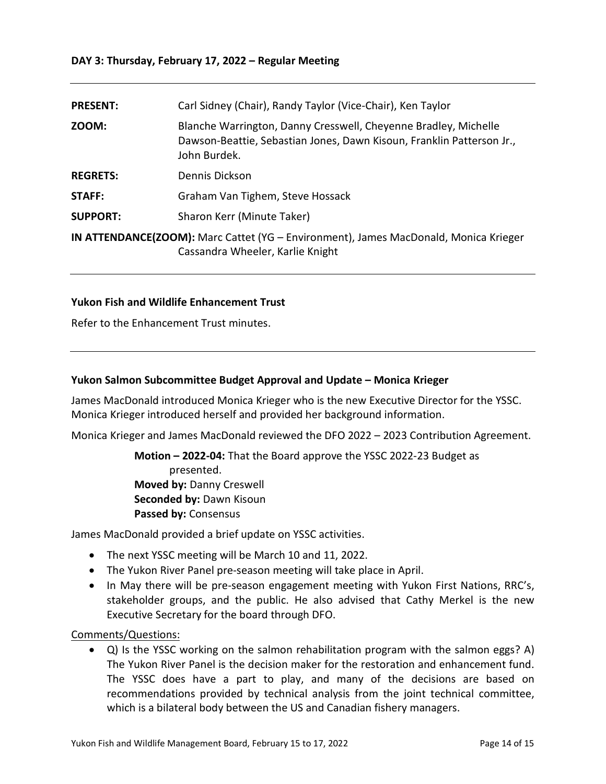### **DAY 3: Thursday, February 17, 2022 – Regular Meeting**

| <b>PRESENT:</b> | Carl Sidney (Chair), Randy Taylor (Vice-Chair), Ken Taylor                                                                                               |
|-----------------|----------------------------------------------------------------------------------------------------------------------------------------------------------|
| ZOOM:           | Blanche Warrington, Danny Cresswell, Cheyenne Bradley, Michelle<br>Dawson-Beattie, Sebastian Jones, Dawn Kisoun, Franklin Patterson Jr.,<br>John Burdek. |
| <b>REGRETS:</b> | Dennis Dickson                                                                                                                                           |
| STAFF:          | Graham Van Tighem, Steve Hossack                                                                                                                         |
| <b>SUPPORT:</b> | Sharon Kerr (Minute Taker)                                                                                                                               |
|                 | IN ATTENDANCE(ZOOM): Marc Cattet (YG - Environment), James MacDonald, Monica Krieger<br>Cassandra Wheeler, Karlie Knight                                 |

### **Yukon Fish and Wildlife Enhancement Trust**

Refer to the Enhancement Trust minutes.

## **Yukon Salmon Subcommittee Budget Approval and Update – Monica Krieger**

James MacDonald introduced Monica Krieger who is the new Executive Director for the YSSC. Monica Krieger introduced herself and provided her background information.

Monica Krieger and James MacDonald reviewed the DFO 2022 – 2023 Contribution Agreement.

**Motion – 2022-04:** That the Board approve the YSSC 2022-23 Budget as presented. **Moved by:** Danny Creswell **Seconded by:** Dawn Kisoun **Passed by:** Consensus

James MacDonald provided a brief update on YSSC activities.

- The next YSSC meeting will be March 10 and 11, 2022.
- The Yukon River Panel pre-season meeting will take place in April.
- In May there will be pre-season engagement meeting with Yukon First Nations, RRC's, stakeholder groups, and the public. He also advised that Cathy Merkel is the new Executive Secretary for the board through DFO.

Comments/Questions:

• Q) Is the YSSC working on the salmon rehabilitation program with the salmon eggs? A) The Yukon River Panel is the decision maker for the restoration and enhancement fund. The YSSC does have a part to play, and many of the decisions are based on recommendations provided by technical analysis from the joint technical committee, which is a bilateral body between the US and Canadian fishery managers.